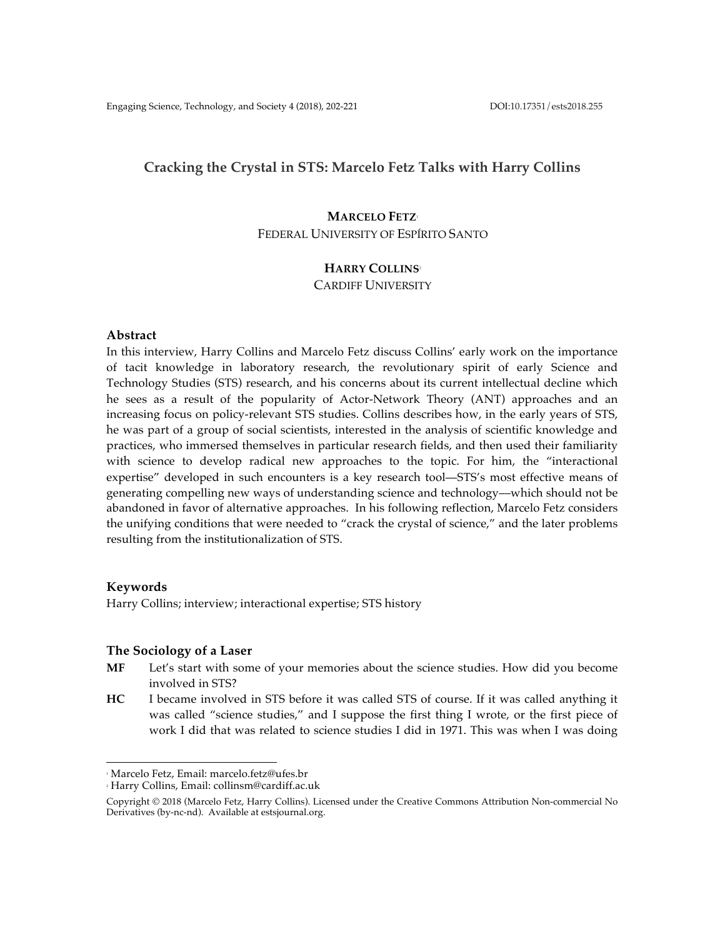## **Cracking the Crystal in STS: Marcelo Fetz Talks with Harry Collins**

# **MARCELO FETZ**<sup>1</sup> FEDERAL UNIVERSITY OF ESPÍRITO SANTO

## **HARRY COLLINS**<sup>2</sup>

## CARDIFF UNIVERSITY

## **Abstract**

In this interview, Harry Collins and Marcelo Fetz discuss Collins' early work on the importance of tacit knowledge in laboratory research, the revolutionary spirit of early Science and Technology Studies (STS) research, and his concerns about its current intellectual decline which he sees as a result of the popularity of Actor-Network Theory (ANT) approaches and an increasing focus on policy-relevant STS studies. Collins describes how, in the early years of STS, he was part of a group of social scientists, interested in the analysis of scientific knowledge and practices, who immersed themselves in particular research fields, and then used their familiarity with science to develop radical new approaches to the topic. For him, the "interactional expertise" developed in such encounters is a key research tool––STS's most effective means of generating compelling new ways of understanding science and technology––which should not be abandoned in favor of alternative approaches. In his following reflection, Marcelo Fetz considers the unifying conditions that were needed to "crack the crystal of science," and the later problems resulting from the institutionalization of STS.

## **Keywords**

Harry Collins; interview; interactional expertise; STS history

## **The Sociology of a Laser**

- **MF** Let's start with some of your memories about the science studies. How did you become involved in STS?
- **HC** I became involved in STS before it was called STS of course. If it was called anything it was called "science studies," and I suppose the first thing I wrote, or the first piece of work I did that was related to science studies I did in 1971. This was when I was doing

 

<sup>1</sup> Marcelo Fetz, Email: marcelo.fetz@ufes.br

<sup>2</sup> Harry Collins, Email: collinsm@cardiff.ac.uk

Copyright © 2018 (Marcelo Fetz, Harry Collins). Licensed under the Creative Commons Attribution Non-commercial No Derivatives (by-nc-nd). Available at estsjournal.org.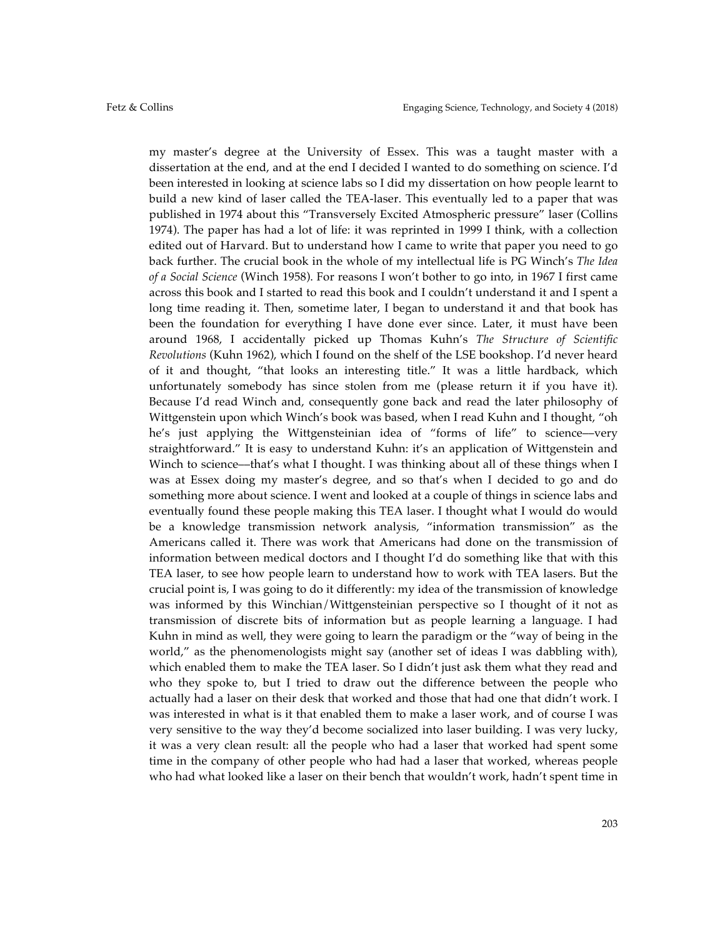my master's degree at the University of Essex. This was a taught master with a dissertation at the end, and at the end I decided I wanted to do something on science. I'd been interested in looking at science labs so I did my dissertation on how people learnt to build a new kind of laser called the TEA-laser. This eventually led to a paper that was published in 1974 about this "Transversely Excited Atmospheric pressure" laser (Collins 1974). The paper has had a lot of life: it was reprinted in 1999 I think, with a collection edited out of Harvard. But to understand how I came to write that paper you need to go back further. The crucial book in the whole of my intellectual life is PG Winch's *The Idea of a Social Science* (Winch 1958). For reasons I won't bother to go into, in 1967 I first came across this book and I started to read this book and I couldn't understand it and I spent a long time reading it. Then, sometime later, I began to understand it and that book has been the foundation for everything I have done ever since. Later, it must have been around 1968, I accidentally picked up Thomas Kuhn's *The Structure of Scientific Revolutions* (Kuhn 1962), which I found on the shelf of the LSE bookshop. I'd never heard of it and thought, "that looks an interesting title." It was a little hardback, which unfortunately somebody has since stolen from me (please return it if you have it). Because I'd read Winch and, consequently gone back and read the later philosophy of Wittgenstein upon which Winch's book was based, when I read Kuhn and I thought, "oh he's just applying the Wittgensteinian idea of "forms of life" to science––very straightforward." It is easy to understand Kuhn: it's an application of Wittgenstein and Winch to science—that's what I thought. I was thinking about all of these things when I was at Essex doing my master's degree, and so that's when I decided to go and do something more about science. I went and looked at a couple of things in science labs and eventually found these people making this TEA laser. I thought what I would do would be a knowledge transmission network analysis, "information transmission" as the Americans called it. There was work that Americans had done on the transmission of information between medical doctors and I thought I'd do something like that with this TEA laser, to see how people learn to understand how to work with TEA lasers. But the crucial point is, I was going to do it differently: my idea of the transmission of knowledge was informed by this Winchian/Wittgensteinian perspective so I thought of it not as transmission of discrete bits of information but as people learning a language. I had Kuhn in mind as well, they were going to learn the paradigm or the "way of being in the world," as the phenomenologists might say (another set of ideas I was dabbling with), which enabled them to make the TEA laser. So I didn't just ask them what they read and who they spoke to, but I tried to draw out the difference between the people who actually had a laser on their desk that worked and those that had one that didn't work. I was interested in what is it that enabled them to make a laser work, and of course I was very sensitive to the way they'd become socialized into laser building. I was very lucky, it was a very clean result: all the people who had a laser that worked had spent some time in the company of other people who had had a laser that worked, whereas people who had what looked like a laser on their bench that wouldn't work, hadn't spent time in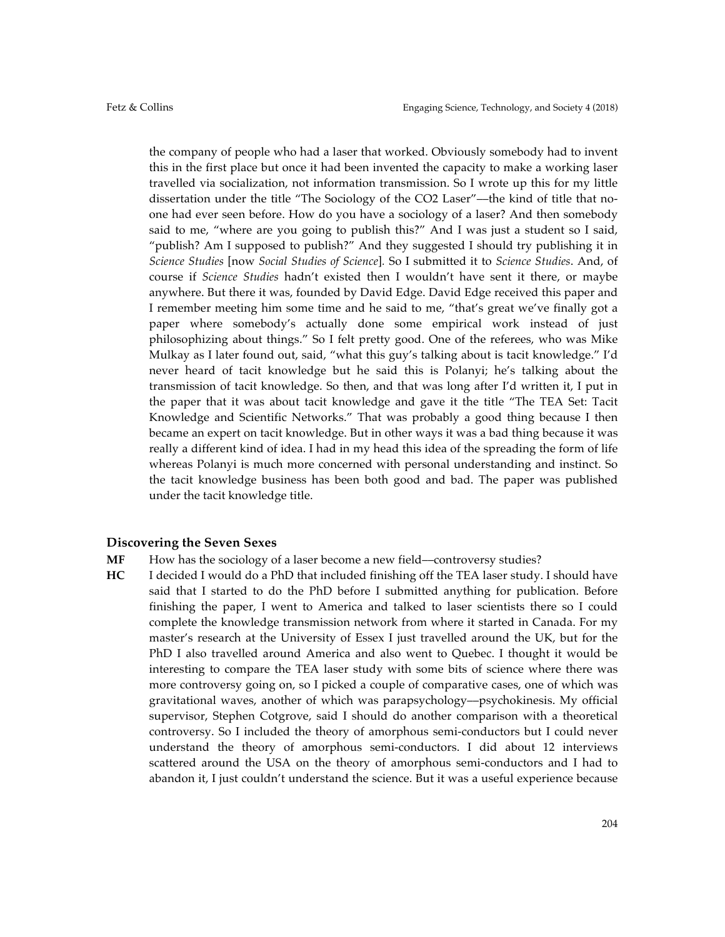the company of people who had a laser that worked. Obviously somebody had to invent this in the first place but once it had been invented the capacity to make a working laser travelled via socialization, not information transmission. So I wrote up this for my little dissertation under the title "The Sociology of the CO2 Laser"––the kind of title that noone had ever seen before. How do you have a sociology of a laser? And then somebody said to me, "where are you going to publish this?" And I was just a student so I said, "publish? Am I supposed to publish?" And they suggested I should try publishing it in *Science Studies* [now *Social Studies of Science*]*.* So I submitted it to *Science Studies*. And, of course if *Science Studies* hadn't existed then I wouldn't have sent it there, or maybe anywhere. But there it was, founded by David Edge. David Edge received this paper and I remember meeting him some time and he said to me, "that's great we've finally got a paper where somebody's actually done some empirical work instead of just philosophizing about things." So I felt pretty good. One of the referees, who was Mike Mulkay as I later found out, said, "what this guy's talking about is tacit knowledge." I'd never heard of tacit knowledge but he said this is Polanyi; he's talking about the transmission of tacit knowledge. So then, and that was long after I'd written it, I put in the paper that it was about tacit knowledge and gave it the title "The TEA Set: Tacit Knowledge and Scientific Networks." That was probably a good thing because I then became an expert on tacit knowledge. But in other ways it was a bad thing because it was really a different kind of idea. I had in my head this idea of the spreading the form of life whereas Polanyi is much more concerned with personal understanding and instinct. So the tacit knowledge business has been both good and bad. The paper was published under the tacit knowledge title.

#### **Discovering the Seven Sexes**

- MF How has the sociology of a laser become a new field-controversy studies?
- **HC** I decided I would do a PhD that included finishing off the TEA laser study. I should have said that I started to do the PhD before I submitted anything for publication. Before finishing the paper, I went to America and talked to laser scientists there so I could complete the knowledge transmission network from where it started in Canada. For my master's research at the University of Essex I just travelled around the UK, but for the PhD I also travelled around America and also went to Quebec. I thought it would be interesting to compare the TEA laser study with some bits of science where there was more controversy going on, so I picked a couple of comparative cases, one of which was gravitational waves, another of which was parapsychology––psychokinesis. My official supervisor, Stephen Cotgrove, said I should do another comparison with a theoretical controversy. So I included the theory of amorphous semi-conductors but I could never understand the theory of amorphous semi-conductors. I did about 12 interviews scattered around the USA on the theory of amorphous semi-conductors and I had to abandon it, I just couldn't understand the science. But it was a useful experience because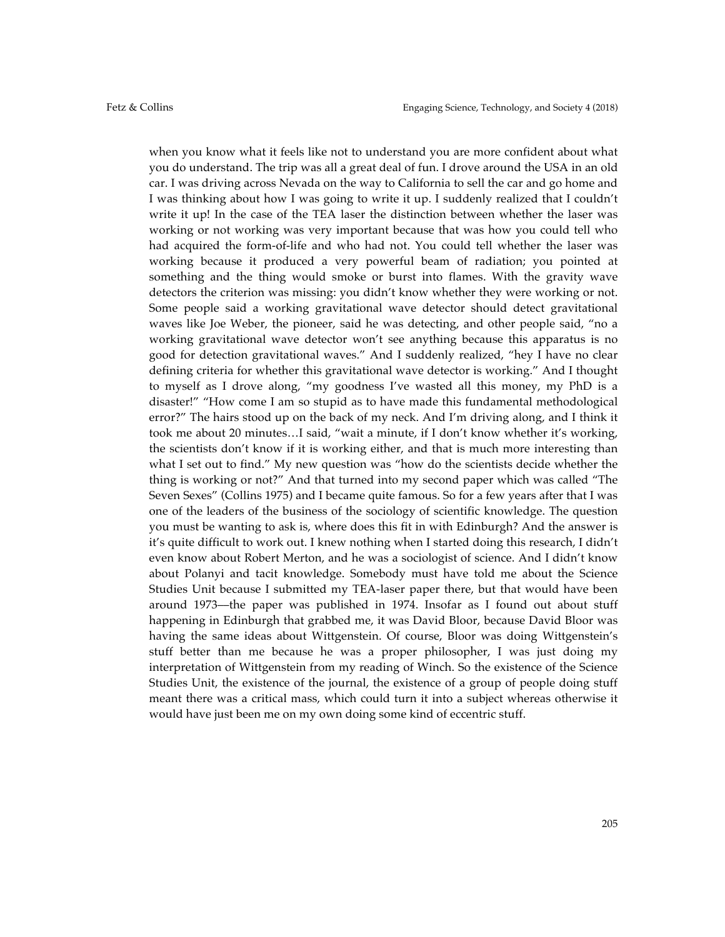when you know what it feels like not to understand you are more confident about what you do understand. The trip was all a great deal of fun. I drove around the USA in an old car. I was driving across Nevada on the way to California to sell the car and go home and I was thinking about how I was going to write it up. I suddenly realized that I couldn't write it up! In the case of the TEA laser the distinction between whether the laser was working or not working was very important because that was how you could tell who had acquired the form-of-life and who had not. You could tell whether the laser was working because it produced a very powerful beam of radiation; you pointed at something and the thing would smoke or burst into flames. With the gravity wave detectors the criterion was missing: you didn't know whether they were working or not. Some people said a working gravitational wave detector should detect gravitational waves like Joe Weber, the pioneer, said he was detecting, and other people said, "no a working gravitational wave detector won't see anything because this apparatus is no good for detection gravitational waves." And I suddenly realized, "hey I have no clear defining criteria for whether this gravitational wave detector is working." And I thought to myself as I drove along, "my goodness I've wasted all this money, my PhD is a disaster!" "How come I am so stupid as to have made this fundamental methodological error?" The hairs stood up on the back of my neck. And I'm driving along, and I think it took me about 20 minutes…I said, "wait a minute, if I don't know whether it's working, the scientists don't know if it is working either, and that is much more interesting than what I set out to find." My new question was "how do the scientists decide whether the thing is working or not?" And that turned into my second paper which was called "The Seven Sexes" (Collins 1975) and I became quite famous. So for a few years after that I was one of the leaders of the business of the sociology of scientific knowledge. The question you must be wanting to ask is, where does this fit in with Edinburgh? And the answer is it's quite difficult to work out. I knew nothing when I started doing this research, I didn't even know about Robert Merton, and he was a sociologist of science. And I didn't know about Polanyi and tacit knowledge. Somebody must have told me about the Science Studies Unit because I submitted my TEA-laser paper there, but that would have been around 1973––the paper was published in 1974. Insofar as I found out about stuff happening in Edinburgh that grabbed me, it was David Bloor, because David Bloor was having the same ideas about Wittgenstein. Of course, Bloor was doing Wittgenstein's stuff better than me because he was a proper philosopher, I was just doing my interpretation of Wittgenstein from my reading of Winch. So the existence of the Science Studies Unit, the existence of the journal, the existence of a group of people doing stuff meant there was a critical mass, which could turn it into a subject whereas otherwise it would have just been me on my own doing some kind of eccentric stuff.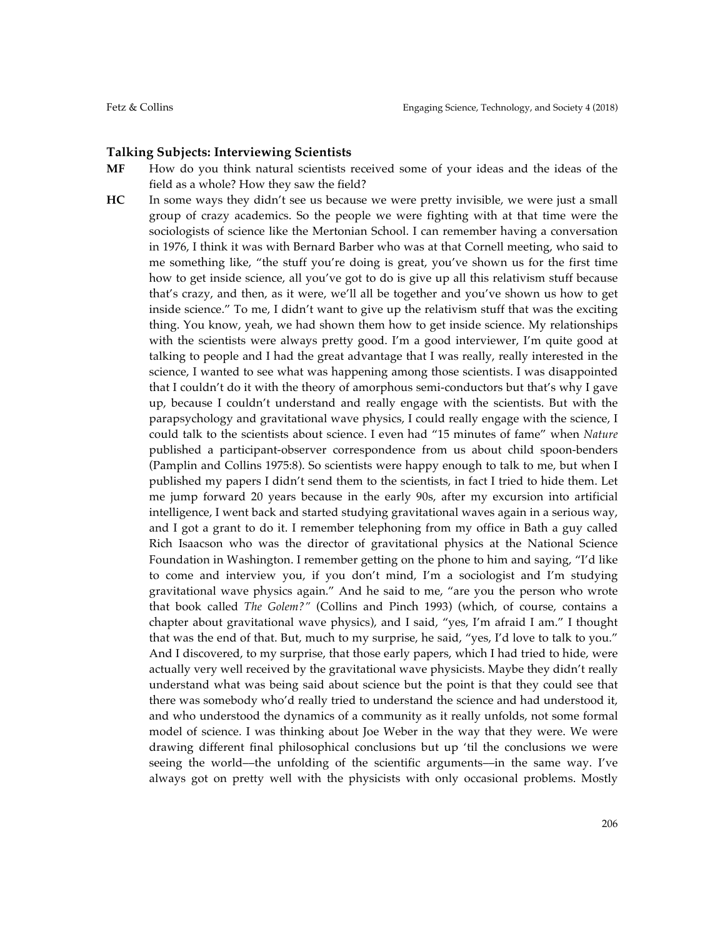## **Talking Subjects: Interviewing Scientists**

- **MF** How do you think natural scientists received some of your ideas and the ideas of the field as a whole? How they saw the field?
- **HC** In some ways they didn't see us because we were pretty invisible, we were just a small group of crazy academics. So the people we were fighting with at that time were the sociologists of science like the Mertonian School. I can remember having a conversation in 1976, I think it was with Bernard Barber who was at that Cornell meeting, who said to me something like, "the stuff you're doing is great, you've shown us for the first time how to get inside science, all you've got to do is give up all this relativism stuff because that's crazy, and then, as it were, we'll all be together and you've shown us how to get inside science." To me, I didn't want to give up the relativism stuff that was the exciting thing. You know, yeah, we had shown them how to get inside science. My relationships with the scientists were always pretty good. I'm a good interviewer, I'm quite good at talking to people and I had the great advantage that I was really, really interested in the science, I wanted to see what was happening among those scientists. I was disappointed that I couldn't do it with the theory of amorphous semi-conductors but that's why I gave up, because I couldn't understand and really engage with the scientists. But with the parapsychology and gravitational wave physics, I could really engage with the science, I could talk to the scientists about science. I even had "15 minutes of fame" when *Nature* published a participant-observer correspondence from us about child spoon-benders (Pamplin and Collins 1975:8). So scientists were happy enough to talk to me, but when I published my papers I didn't send them to the scientists, in fact I tried to hide them. Let me jump forward 20 years because in the early 90s, after my excursion into artificial intelligence, I went back and started studying gravitational waves again in a serious way, and I got a grant to do it. I remember telephoning from my office in Bath a guy called Rich Isaacson who was the director of gravitational physics at the National Science Foundation in Washington. I remember getting on the phone to him and saying, "I'd like to come and interview you, if you don't mind, I'm a sociologist and I'm studying gravitational wave physics again." And he said to me, "are you the person who wrote that book called *The Golem?"* (Collins and Pinch 1993) (which, of course, contains a chapter about gravitational wave physics), and I said, "yes, I'm afraid I am." I thought that was the end of that. But, much to my surprise, he said, "yes, I'd love to talk to you." And I discovered, to my surprise, that those early papers, which I had tried to hide, were actually very well received by the gravitational wave physicists. Maybe they didn't really understand what was being said about science but the point is that they could see that there was somebody who'd really tried to understand the science and had understood it, and who understood the dynamics of a community as it really unfolds, not some formal model of science. I was thinking about Joe Weber in the way that they were. We were drawing different final philosophical conclusions but up 'til the conclusions we were seeing the world––the unfolding of the scientific arguments––in the same way. I've always got on pretty well with the physicists with only occasional problems. Mostly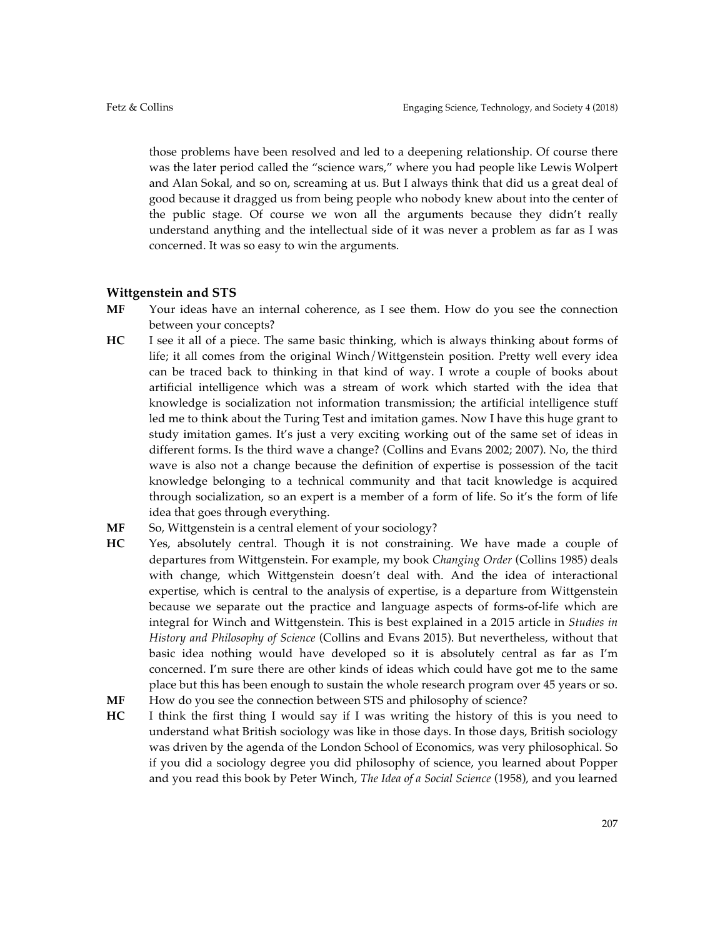those problems have been resolved and led to a deepening relationship. Of course there was the later period called the "science wars," where you had people like Lewis Wolpert and Alan Sokal, and so on, screaming at us. But I always think that did us a great deal of good because it dragged us from being people who nobody knew about into the center of the public stage. Of course we won all the arguments because they didn't really understand anything and the intellectual side of it was never a problem as far as I was concerned. It was so easy to win the arguments.

## **Wittgenstein and STS**

- **MF** Your ideas have an internal coherence, as I see them. How do you see the connection between your concepts?
- **HC** I see it all of a piece. The same basic thinking, which is always thinking about forms of life; it all comes from the original Winch/Wittgenstein position. Pretty well every idea can be traced back to thinking in that kind of way. I wrote a couple of books about artificial intelligence which was a stream of work which started with the idea that knowledge is socialization not information transmission; the artificial intelligence stuff led me to think about the Turing Test and imitation games. Now I have this huge grant to study imitation games. It's just a very exciting working out of the same set of ideas in different forms. Is the third wave a change? (Collins and Evans 2002; 2007). No, the third wave is also not a change because the definition of expertise is possession of the tacit knowledge belonging to a technical community and that tacit knowledge is acquired through socialization, so an expert is a member of a form of life. So it's the form of life idea that goes through everything.
- MF So, Wittgenstein is a central element of your sociology?
- **HC** Yes, absolutely central. Though it is not constraining. We have made a couple of departures from Wittgenstein. For example, my book *Changing Order* (Collins 1985) deals with change, which Wittgenstein doesn't deal with. And the idea of interactional expertise, which is central to the analysis of expertise, is a departure from Wittgenstein because we separate out the practice and language aspects of forms-of-life which are integral for Winch and Wittgenstein. This is best explained in a 2015 article in *Studies in History and Philosophy of Science* (Collins and Evans 2015). But nevertheless, without that basic idea nothing would have developed so it is absolutely central as far as I'm concerned. I'm sure there are other kinds of ideas which could have got me to the same place but this has been enough to sustain the whole research program over 45 years or so.
- **MF** How do you see the connection between STS and philosophy of science?
- **HC** I think the first thing I would say if I was writing the history of this is you need to understand what British sociology was like in those days. In those days, British sociology was driven by the agenda of the London School of Economics, was very philosophical. So if you did a sociology degree you did philosophy of science, you learned about Popper and you read this book by Peter Winch, *The Idea of a Social Science* (1958), and you learned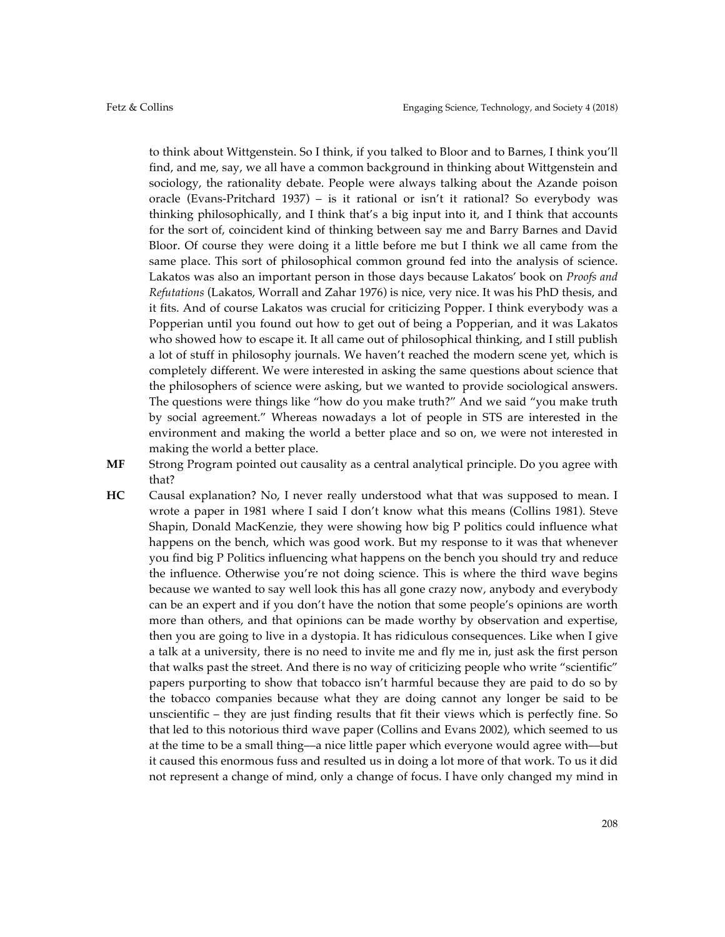to think about Wittgenstein. So I think, if you talked to Bloor and to Barnes, I think you'll find, and me, say, we all have a common background in thinking about Wittgenstein and sociology, the rationality debate. People were always talking about the Azande poison oracle (Evans-Pritchard 1937) – is it rational or isn't it rational? So everybody was thinking philosophically, and I think that's a big input into it, and I think that accounts for the sort of, coincident kind of thinking between say me and Barry Barnes and David Bloor. Of course they were doing it a little before me but I think we all came from the same place. This sort of philosophical common ground fed into the analysis of science. Lakatos was also an important person in those days because Lakatos' book on *Proofs and Refutations* (Lakatos, Worrall and Zahar 1976) is nice, very nice. It was his PhD thesis, and it fits. And of course Lakatos was crucial for criticizing Popper. I think everybody was a Popperian until you found out how to get out of being a Popperian, and it was Lakatos who showed how to escape it. It all came out of philosophical thinking, and I still publish a lot of stuff in philosophy journals. We haven't reached the modern scene yet, which is completely different. We were interested in asking the same questions about science that the philosophers of science were asking, but we wanted to provide sociological answers. The questions were things like "how do you make truth?" And we said "you make truth by social agreement." Whereas nowadays a lot of people in STS are interested in the environment and making the world a better place and so on, we were not interested in making the world a better place.

- **MF** Strong Program pointed out causality as a central analytical principle. Do you agree with that?
	- **HC** Causal explanation? No, I never really understood what that was supposed to mean. I wrote a paper in 1981 where I said I don't know what this means (Collins 1981). Steve Shapin, Donald MacKenzie, they were showing how big P politics could influence what happens on the bench, which was good work. But my response to it was that whenever you find big P Politics influencing what happens on the bench you should try and reduce the influence. Otherwise you're not doing science. This is where the third wave begins because we wanted to say well look this has all gone crazy now, anybody and everybody can be an expert and if you don't have the notion that some people's opinions are worth more than others, and that opinions can be made worthy by observation and expertise, then you are going to live in a dystopia. It has ridiculous consequences. Like when I give a talk at a university, there is no need to invite me and fly me in, just ask the first person that walks past the street. And there is no way of criticizing people who write "scientific" papers purporting to show that tobacco isn't harmful because they are paid to do so by the tobacco companies because what they are doing cannot any longer be said to be unscientific – they are just finding results that fit their views which is perfectly fine. So that led to this notorious third wave paper (Collins and Evans 2002), which seemed to us at the time to be a small thing––a nice little paper which everyone would agree with––but it caused this enormous fuss and resulted us in doing a lot more of that work. To us it did not represent a change of mind, only a change of focus. I have only changed my mind in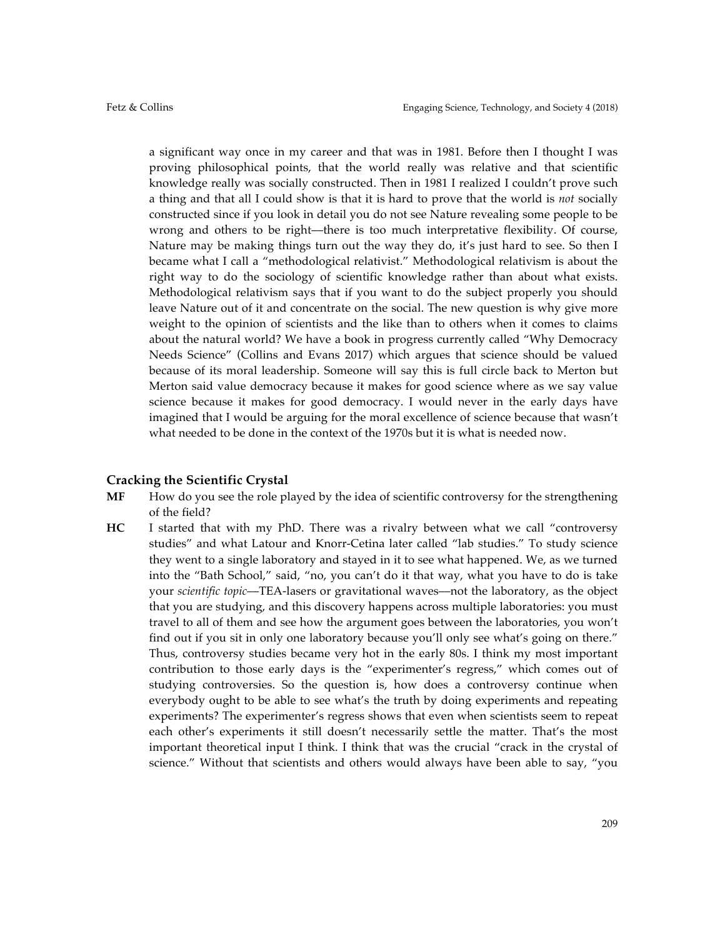a significant way once in my career and that was in 1981. Before then I thought I was proving philosophical points, that the world really was relative and that scientific knowledge really was socially constructed. Then in 1981 I realized I couldn't prove such a thing and that all I could show is that it is hard to prove that the world is *not* socially constructed since if you look in detail you do not see Nature revealing some people to be wrong and others to be right––there is too much interpretative flexibility. Of course, Nature may be making things turn out the way they do, it's just hard to see. So then I became what I call a "methodological relativist." Methodological relativism is about the right way to do the sociology of scientific knowledge rather than about what exists. Methodological relativism says that if you want to do the subject properly you should leave Nature out of it and concentrate on the social. The new question is why give more weight to the opinion of scientists and the like than to others when it comes to claims about the natural world? We have a book in progress currently called "Why Democracy Needs Science" (Collins and Evans 2017) which argues that science should be valued because of its moral leadership. Someone will say this is full circle back to Merton but Merton said value democracy because it makes for good science where as we say value science because it makes for good democracy. I would never in the early days have imagined that I would be arguing for the moral excellence of science because that wasn't what needed to be done in the context of the 1970s but it is what is needed now.

#### **Cracking the Scientific Crystal**

- **MF** How do you see the role played by the idea of scientific controversy for the strengthening of the field?
- **HC** I started that with my PhD. There was a rivalry between what we call "controversy studies" and what Latour and Knorr-Cetina later called "lab studies." To study science they went to a single laboratory and stayed in it to see what happened. We, as we turned into the "Bath School," said, "no, you can't do it that way, what you have to do is take your *scientific topic*––TEA-lasers or gravitational waves––not the laboratory, as the object that you are studying, and this discovery happens across multiple laboratories: you must travel to all of them and see how the argument goes between the laboratories, you won't find out if you sit in only one laboratory because you'll only see what's going on there." Thus, controversy studies became very hot in the early 80s. I think my most important contribution to those early days is the "experimenter's regress," which comes out of studying controversies. So the question is, how does a controversy continue when everybody ought to be able to see what's the truth by doing experiments and repeating experiments? The experimenter's regress shows that even when scientists seem to repeat each other's experiments it still doesn't necessarily settle the matter. That's the most important theoretical input I think. I think that was the crucial "crack in the crystal of science." Without that scientists and others would always have been able to say, "you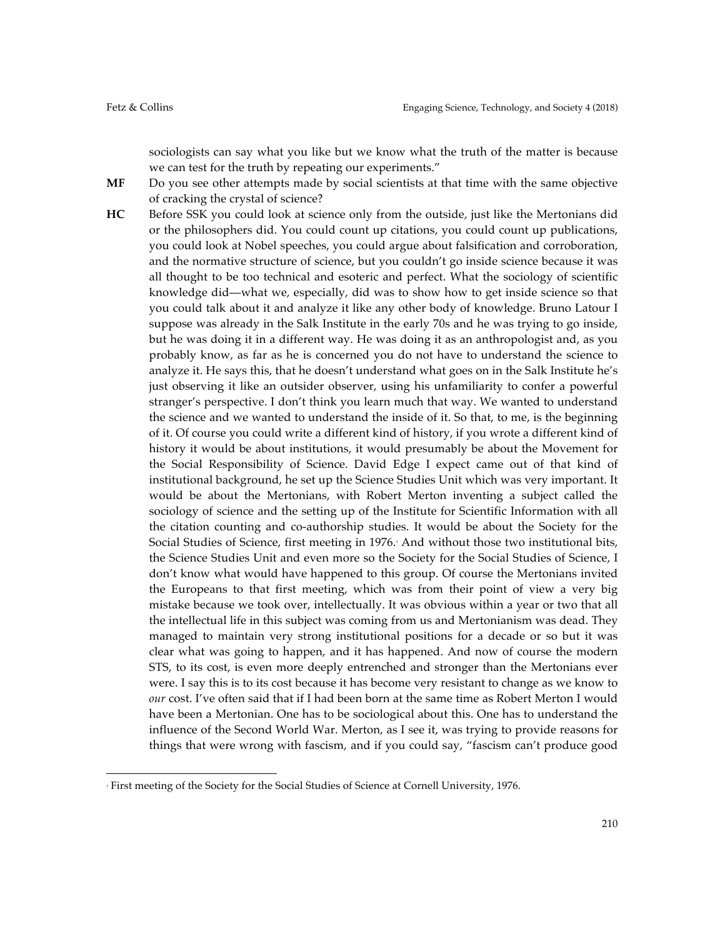sociologists can say what you like but we know what the truth of the matter is because we can test for the truth by repeating our experiments."

- **MF** Do you see other attempts made by social scientists at that time with the same objective of cracking the crystal of science?
- **HC** Before SSK you could look at science only from the outside, just like the Mertonians did or the philosophers did. You could count up citations, you could count up publications, you could look at Nobel speeches, you could argue about falsification and corroboration, and the normative structure of science, but you couldn't go inside science because it was all thought to be too technical and esoteric and perfect. What the sociology of scientific knowledge did––what we, especially, did was to show how to get inside science so that you could talk about it and analyze it like any other body of knowledge. Bruno Latour I suppose was already in the Salk Institute in the early 70s and he was trying to go inside, but he was doing it in a different way. He was doing it as an anthropologist and, as you probably know, as far as he is concerned you do not have to understand the science to analyze it. He says this, that he doesn't understand what goes on in the Salk Institute he's just observing it like an outsider observer, using his unfamiliarity to confer a powerful stranger's perspective. I don't think you learn much that way. We wanted to understand the science and we wanted to understand the inside of it. So that, to me, is the beginning of it. Of course you could write a different kind of history, if you wrote a different kind of history it would be about institutions, it would presumably be about the Movement for the Social Responsibility of Science. David Edge I expect came out of that kind of institutional background, he set up the Science Studies Unit which was very important. It would be about the Mertonians, with Robert Merton inventing a subject called the sociology of science and the setting up of the Institute for Scientific Information with all the citation counting and co-authorship studies. It would be about the Society for the Social Studies of Science, first meeting in 1976. And without those two institutional bits, the Science Studies Unit and even more so the Society for the Social Studies of Science, I don't know what would have happened to this group. Of course the Mertonians invited the Europeans to that first meeting, which was from their point of view a very big mistake because we took over, intellectually. It was obvious within a year or two that all the intellectual life in this subject was coming from us and Mertonianism was dead. They managed to maintain very strong institutional positions for a decade or so but it was clear what was going to happen, and it has happened. And now of course the modern STS, to its cost, is even more deeply entrenched and stronger than the Mertonians ever were. I say this is to its cost because it has become very resistant to change as we know to *our* cost. I've often said that if I had been born at the same time as Robert Merton I would have been a Mertonian. One has to be sociological about this. One has to understand the influence of the Second World War. Merton, as I see it, was trying to provide reasons for things that were wrong with fascism, and if you could say, "fascism can't produce good

 

<sup>&</sup>lt;sup>3</sup> First meeting of the Society for the Social Studies of Science at Cornell University, 1976.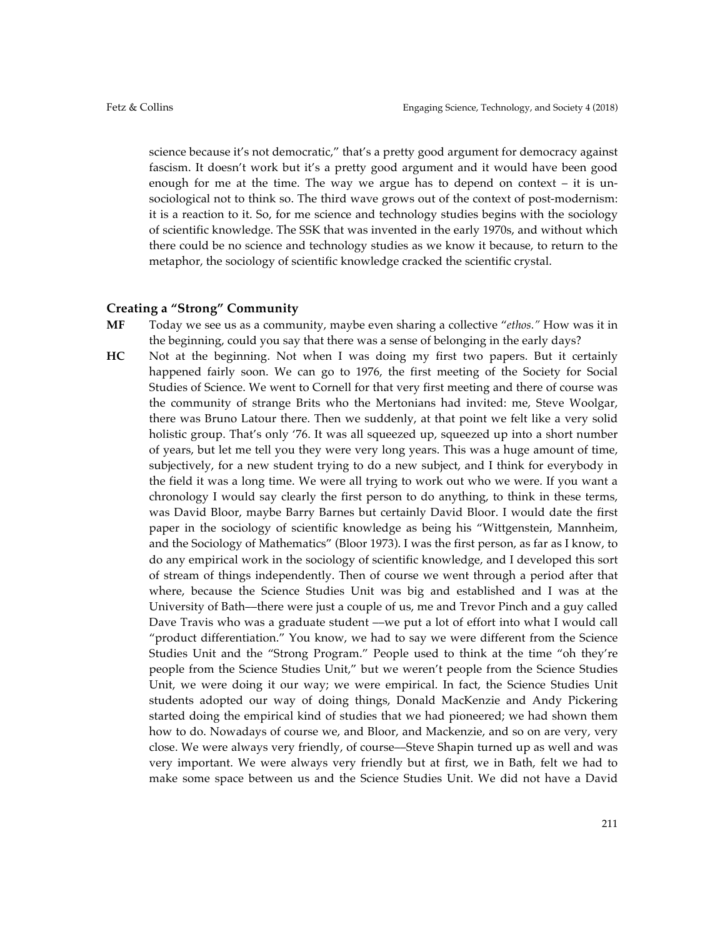science because it's not democratic," that's a pretty good argument for democracy against fascism. It doesn't work but it's a pretty good argument and it would have been good enough for me at the time. The way we argue has to depend on context – it is unsociological not to think so. The third wave grows out of the context of post-modernism: it is a reaction to it. So, for me science and technology studies begins with the sociology of scientific knowledge. The SSK that was invented in the early 1970s, and without which there could be no science and technology studies as we know it because, to return to the metaphor, the sociology of scientific knowledge cracked the scientific crystal.

## **Creating a "Strong" Community**

- **MF** Today we see us as a community, maybe even sharing a collective "*ethos."* How was it in the beginning, could you say that there was a sense of belonging in the early days?
- **HC** Not at the beginning. Not when I was doing my first two papers. But it certainly happened fairly soon. We can go to 1976, the first meeting of the Society for Social Studies of Science. We went to Cornell for that very first meeting and there of course was the community of strange Brits who the Mertonians had invited: me, Steve Woolgar, there was Bruno Latour there. Then we suddenly, at that point we felt like a very solid holistic group. That's only '76. It was all squeezed up, squeezed up into a short number of years, but let me tell you they were very long years. This was a huge amount of time, subjectively, for a new student trying to do a new subject, and I think for everybody in the field it was a long time. We were all trying to work out who we were. If you want a chronology I would say clearly the first person to do anything, to think in these terms, was David Bloor, maybe Barry Barnes but certainly David Bloor. I would date the first paper in the sociology of scientific knowledge as being his "Wittgenstein, Mannheim, and the Sociology of Mathematics" (Bloor 1973). I was the first person, as far as I know, to do any empirical work in the sociology of scientific knowledge, and I developed this sort of stream of things independently. Then of course we went through a period after that where, because the Science Studies Unit was big and established and I was at the University of Bath––there were just a couple of us, me and Trevor Pinch and a guy called Dave Travis who was a graduate student —we put a lot of effort into what I would call "product differentiation." You know, we had to say we were different from the Science Studies Unit and the "Strong Program." People used to think at the time "oh they're people from the Science Studies Unit," but we weren't people from the Science Studies Unit, we were doing it our way; we were empirical. In fact, the Science Studies Unit students adopted our way of doing things, Donald MacKenzie and Andy Pickering started doing the empirical kind of studies that we had pioneered; we had shown them how to do. Nowadays of course we, and Bloor, and Mackenzie, and so on are very, very close. We were always very friendly, of course––Steve Shapin turned up as well and was very important. We were always very friendly but at first, we in Bath, felt we had to make some space between us and the Science Studies Unit. We did not have a David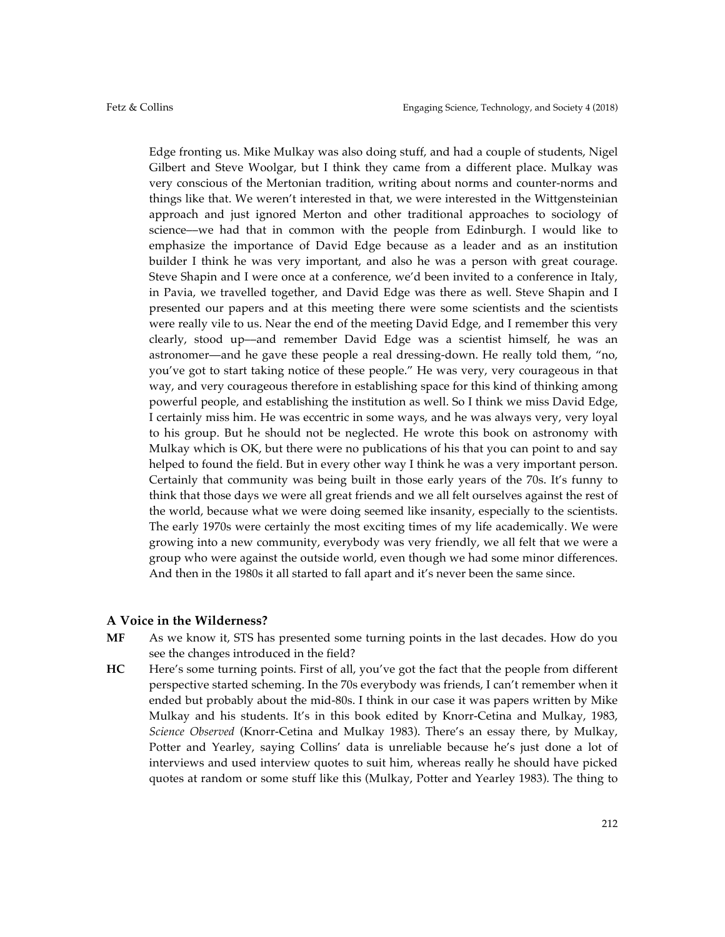Edge fronting us. Mike Mulkay was also doing stuff, and had a couple of students, Nigel Gilbert and Steve Woolgar, but I think they came from a different place. Mulkay was very conscious of the Mertonian tradition, writing about norms and counter-norms and things like that. We weren't interested in that, we were interested in the Wittgensteinian approach and just ignored Merton and other traditional approaches to sociology of science––we had that in common with the people from Edinburgh. I would like to emphasize the importance of David Edge because as a leader and as an institution builder I think he was very important, and also he was a person with great courage. Steve Shapin and I were once at a conference, we'd been invited to a conference in Italy, in Pavia, we travelled together, and David Edge was there as well. Steve Shapin and I presented our papers and at this meeting there were some scientists and the scientists were really vile to us. Near the end of the meeting David Edge, and I remember this very clearly, stood up––and remember David Edge was a scientist himself, he was an astronomer––and he gave these people a real dressing-down. He really told them, "no, you've got to start taking notice of these people." He was very, very courageous in that way, and very courageous therefore in establishing space for this kind of thinking among powerful people, and establishing the institution as well. So I think we miss David Edge, I certainly miss him. He was eccentric in some ways, and he was always very, very loyal to his group. But he should not be neglected. He wrote this book on astronomy with Mulkay which is OK, but there were no publications of his that you can point to and say helped to found the field. But in every other way I think he was a very important person. Certainly that community was being built in those early years of the 70s. It's funny to think that those days we were all great friends and we all felt ourselves against the rest of the world, because what we were doing seemed like insanity, especially to the scientists. The early 1970s were certainly the most exciting times of my life academically. We were growing into a new community, everybody was very friendly, we all felt that we were a group who were against the outside world, even though we had some minor differences. And then in the 1980s it all started to fall apart and it's never been the same since.

#### **A Voice in the Wilderness?**

- **MF** As we know it, STS has presented some turning points in the last decades. How do you see the changes introduced in the field?
- **HC** Here's some turning points. First of all, you've got the fact that the people from different perspective started scheming. In the 70s everybody was friends, I can't remember when it ended but probably about the mid-80s. I think in our case it was papers written by Mike Mulkay and his students. It's in this book edited by Knorr-Cetina and Mulkay, 1983, *Science Observed* (Knorr-Cetina and Mulkay 1983). There's an essay there, by Mulkay, Potter and Yearley, saying Collins' data is unreliable because he's just done a lot of interviews and used interview quotes to suit him, whereas really he should have picked quotes at random or some stuff like this (Mulkay, Potter and Yearley 1983). The thing to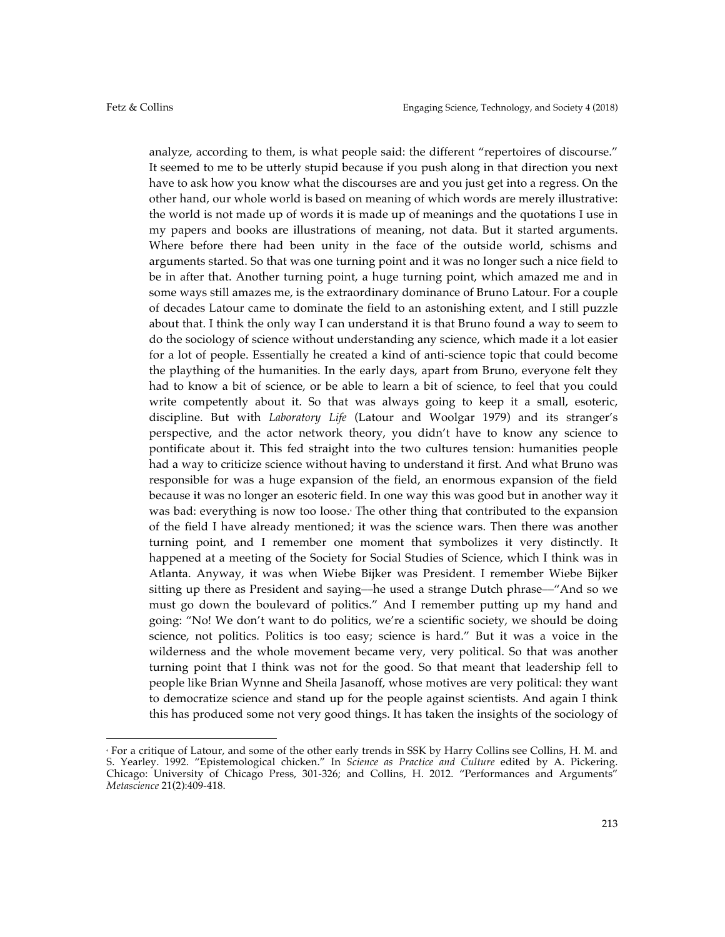analyze, according to them, is what people said: the different "repertoires of discourse." It seemed to me to be utterly stupid because if you push along in that direction you next have to ask how you know what the discourses are and you just get into a regress. On the other hand, our whole world is based on meaning of which words are merely illustrative: the world is not made up of words it is made up of meanings and the quotations I use in my papers and books are illustrations of meaning, not data. But it started arguments. Where before there had been unity in the face of the outside world, schisms and arguments started. So that was one turning point and it was no longer such a nice field to be in after that. Another turning point, a huge turning point, which amazed me and in some ways still amazes me, is the extraordinary dominance of Bruno Latour. For a couple of decades Latour came to dominate the field to an astonishing extent, and I still puzzle about that. I think the only way I can understand it is that Bruno found a way to seem to do the sociology of science without understanding any science, which made it a lot easier for a lot of people. Essentially he created a kind of anti-science topic that could become the plaything of the humanities. In the early days, apart from Bruno, everyone felt they had to know a bit of science, or be able to learn a bit of science, to feel that you could write competently about it. So that was always going to keep it a small, esoteric, discipline. But with *Laboratory Life* (Latour and Woolgar 1979) and its stranger's perspective, and the actor network theory, you didn't have to know any science to pontificate about it. This fed straight into the two cultures tension: humanities people had a way to criticize science without having to understand it first. And what Bruno was responsible for was a huge expansion of the field, an enormous expansion of the field because it was no longer an esoteric field. In one way this was good but in another way it was bad: everything is now too loose. The other thing that contributed to the expansion of the field I have already mentioned; it was the science wars. Then there was another turning point, and I remember one moment that symbolizes it very distinctly. It happened at a meeting of the Society for Social Studies of Science, which I think was in Atlanta. Anyway, it was when Wiebe Bijker was President. I remember Wiebe Bijker sitting up there as President and saying––he used a strange Dutch phrase––"And so we must go down the boulevard of politics." And I remember putting up my hand and going: "No! We don't want to do politics, we're a scientific society, we should be doing science, not politics. Politics is too easy; science is hard." But it was a voice in the wilderness and the whole movement became very, very political. So that was another turning point that I think was not for the good. So that meant that leadership fell to people like Brian Wynne and Sheila Jasanoff, whose motives are very political: they want to democratize science and stand up for the people against scientists. And again I think this has produced some not very good things. It has taken the insights of the sociology of

 

<sup>4</sup> For a critique of Latour, and some of the other early trends in SSK by Harry Collins see Collins, H. M. and S. Yearley. 1992. "Epistemological chicken." In *Science as Practice and Culture* edited by A. Pickering. Chicago: University of Chicago Press, 301-326; and Collins, H. 2012. "Performances and Arguments' *Metascience* 21(2):409-418.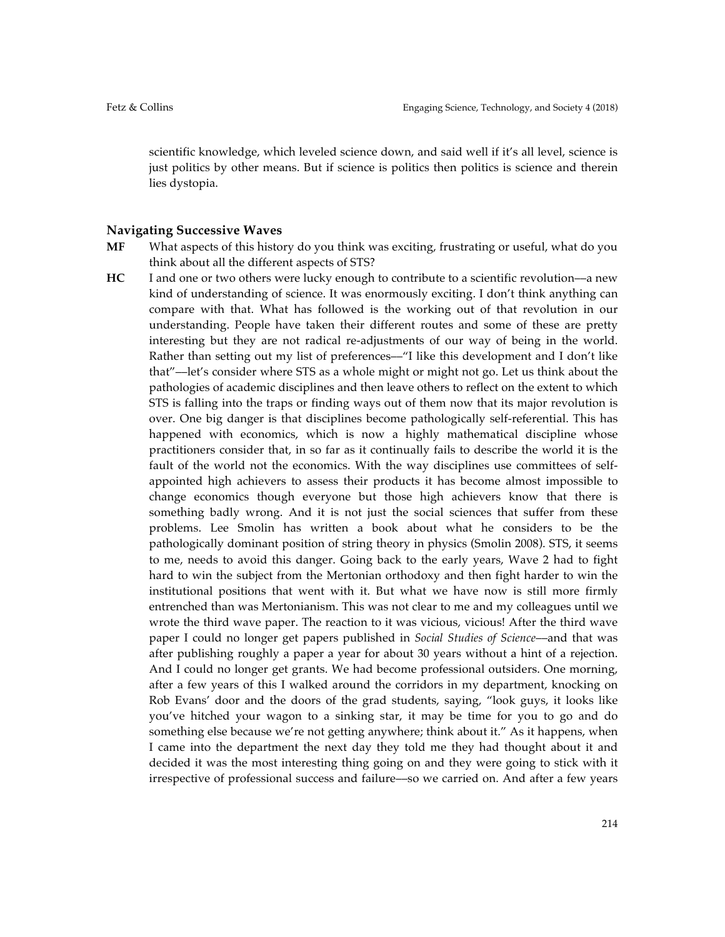scientific knowledge, which leveled science down, and said well if it's all level, science is just politics by other means. But if science is politics then politics is science and therein lies dystopia.

#### **Navigating Successive Waves**

- **MF** What aspects of this history do you think was exciting, frustrating or useful, what do you think about all the different aspects of STS?
- **HC** I and one or two others were lucky enough to contribute to a scientific revolution—a new kind of understanding of science. It was enormously exciting. I don't think anything can compare with that. What has followed is the working out of that revolution in our understanding. People have taken their different routes and some of these are pretty interesting but they are not radical re-adjustments of our way of being in the world. Rather than setting out my list of preferences––"I like this development and I don't like that"––let's consider where STS as a whole might or might not go. Let us think about the pathologies of academic disciplines and then leave others to reflect on the extent to which STS is falling into the traps or finding ways out of them now that its major revolution is over. One big danger is that disciplines become pathologically self-referential. This has happened with economics, which is now a highly mathematical discipline whose practitioners consider that, in so far as it continually fails to describe the world it is the fault of the world not the economics. With the way disciplines use committees of selfappointed high achievers to assess their products it has become almost impossible to change economics though everyone but those high achievers know that there is something badly wrong. And it is not just the social sciences that suffer from these problems. Lee Smolin has written a book about what he considers to be the pathologically dominant position of string theory in physics (Smolin 2008). STS, it seems to me, needs to avoid this danger. Going back to the early years, Wave 2 had to fight hard to win the subject from the Mertonian orthodoxy and then fight harder to win the institutional positions that went with it. But what we have now is still more firmly entrenched than was Mertonianism. This was not clear to me and my colleagues until we wrote the third wave paper. The reaction to it was vicious, vicious! After the third wave paper I could no longer get papers published in *Social Studies of Science*––and that was after publishing roughly a paper a year for about 30 years without a hint of a rejection. And I could no longer get grants. We had become professional outsiders. One morning, after a few years of this I walked around the corridors in my department, knocking on Rob Evans' door and the doors of the grad students, saying, "look guys, it looks like you've hitched your wagon to a sinking star, it may be time for you to go and do something else because we're not getting anywhere; think about it." As it happens, when I came into the department the next day they told me they had thought about it and decided it was the most interesting thing going on and they were going to stick with it irrespective of professional success and failure––so we carried on. And after a few years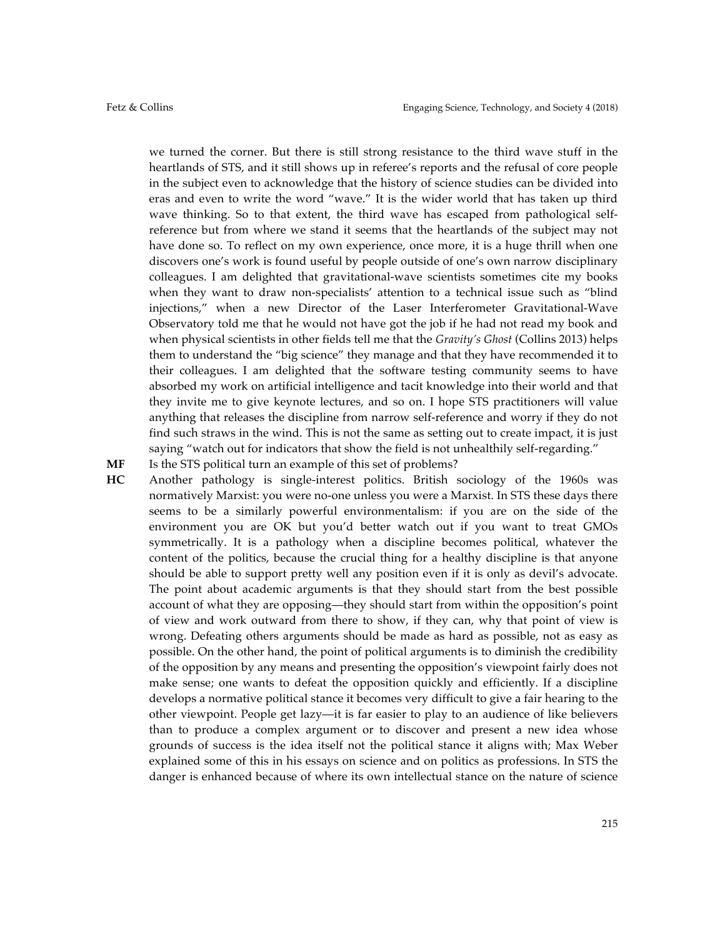we turned the corner. But there is still strong resistance to the third wave stuff in the heartlands of STS, and it still shows up in referee's reports and the refusal of core people in the subject even to acknowledge that the history of science studies can be divided into eras and even to write the word "wave." It is the wider world that has taken up third wave thinking. So to that extent, the third wave has escaped from pathological selfreference but from where we stand it seems that the heartlands of the subject may not have done so. To reflect on my own experience, once more, it is a huge thrill when one discovers one's work is found useful by people outside of one's own narrow disciplinary colleagues. I am delighted that gravitational-wave scientists sometimes cite my books when they want to draw non-specialists' attention to a technical issue such as "blind injections," when a new Director of the Laser Interferometer Gravitational-Wave Observatory told me that he would not have got the job if he had not read my book and when physical scientists in other fields tell me that the *Gravity's Ghost* (Collins 2013) helps them to understand the "big science" they manage and that they have recommended it to their colleagues. I am delighted that the software testing community seems to have absorbed my work on artificial intelligence and tacit knowledge into their world and that they invite me to give keynote lectures, and so on. I hope STS practitioners will value anything that releases the discipline from narrow self-reference and worry if they do not find such straws in the wind. This is not the same as setting out to create impact, it is just saying "watch out for indicators that show the field is not unhealthily self-regarding."

### **MF** Is the STS political turn an example of this set of problems?

**HC** Another pathology is single-interest politics. British sociology of the 1960s was normatively Marxist: you were no-one unless you were a Marxist. In STS these days there seems to be a similarly powerful environmentalism: if you are on the side of the environment you are OK but you'd better watch out if you want to treat GMOs symmetrically. It is a pathology when a discipline becomes political, whatever the content of the politics, because the crucial thing for a healthy discipline is that anyone should be able to support pretty well any position even if it is only as devil's advocate. The point about academic arguments is that they should start from the best possible account of what they are opposing––they should start from within the opposition's point of view and work outward from there to show, if they can, why that point of view is wrong. Defeating others arguments should be made as hard as possible, not as easy as possible. On the other hand, the point of political arguments is to diminish the credibility of the opposition by any means and presenting the opposition's viewpoint fairly does not make sense; one wants to defeat the opposition quickly and efficiently. If a discipline develops a normative political stance it becomes very difficult to give a fair hearing to the other viewpoint. People get lazy––it is far easier to play to an audience of like believers than to produce a complex argument or to discover and present a new idea whose grounds of success is the idea itself not the political stance it aligns with; Max Weber explained some of this in his essays on science and on politics as professions. In STS the danger is enhanced because of where its own intellectual stance on the nature of science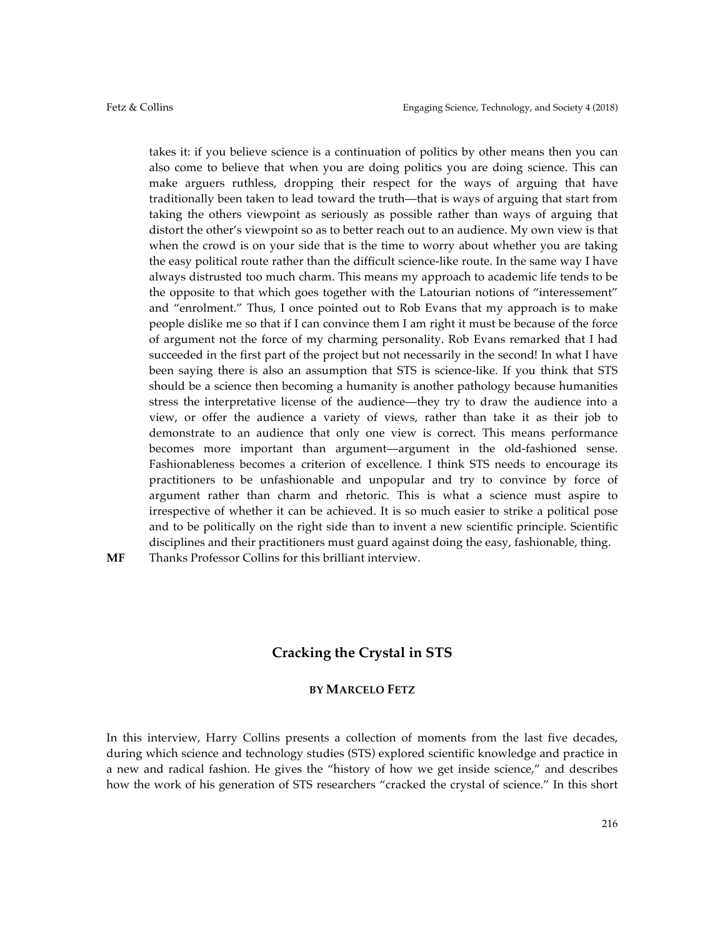takes it: if you believe science is a continuation of politics by other means then you can also come to believe that when you are doing politics you are doing science. This can make arguers ruthless, dropping their respect for the ways of arguing that have traditionally been taken to lead toward the truth––that is ways of arguing that start from taking the others viewpoint as seriously as possible rather than ways of arguing that distort the other's viewpoint so as to better reach out to an audience. My own view is that when the crowd is on your side that is the time to worry about whether you are taking the easy political route rather than the difficult science-like route. In the same way I have always distrusted too much charm. This means my approach to academic life tends to be the opposite to that which goes together with the Latourian notions of "interessement" and "enrolment." Thus, I once pointed out to Rob Evans that my approach is to make people dislike me so that if I can convince them I am right it must be because of the force of argument not the force of my charming personality. Rob Evans remarked that I had succeeded in the first part of the project but not necessarily in the second! In what I have been saying there is also an assumption that STS is science-like. If you think that STS should be a science then becoming a humanity is another pathology because humanities stress the interpretative license of the audience––they try to draw the audience into a view, or offer the audience a variety of views, rather than take it as their job to demonstrate to an audience that only one view is correct. This means performance becomes more important than argument––argument in the old-fashioned sense. Fashionableness becomes a criterion of excellence. I think STS needs to encourage its practitioners to be unfashionable and unpopular and try to convince by force of argument rather than charm and rhetoric. This is what a science must aspire to irrespective of whether it can be achieved. It is so much easier to strike a political pose and to be politically on the right side than to invent a new scientific principle. Scientific disciplines and their practitioners must guard against doing the easy, fashionable, thing.

**MF** Thanks Professor Collins for this brilliant interview.

# **Cracking the Crystal in STS**

## **BY MARCELO FETZ**

In this interview, Harry Collins presents a collection of moments from the last five decades, during which science and technology studies (STS) explored scientific knowledge and practice in a new and radical fashion. He gives the "history of how we get inside science," and describes how the work of his generation of STS researchers "cracked the crystal of science." In this short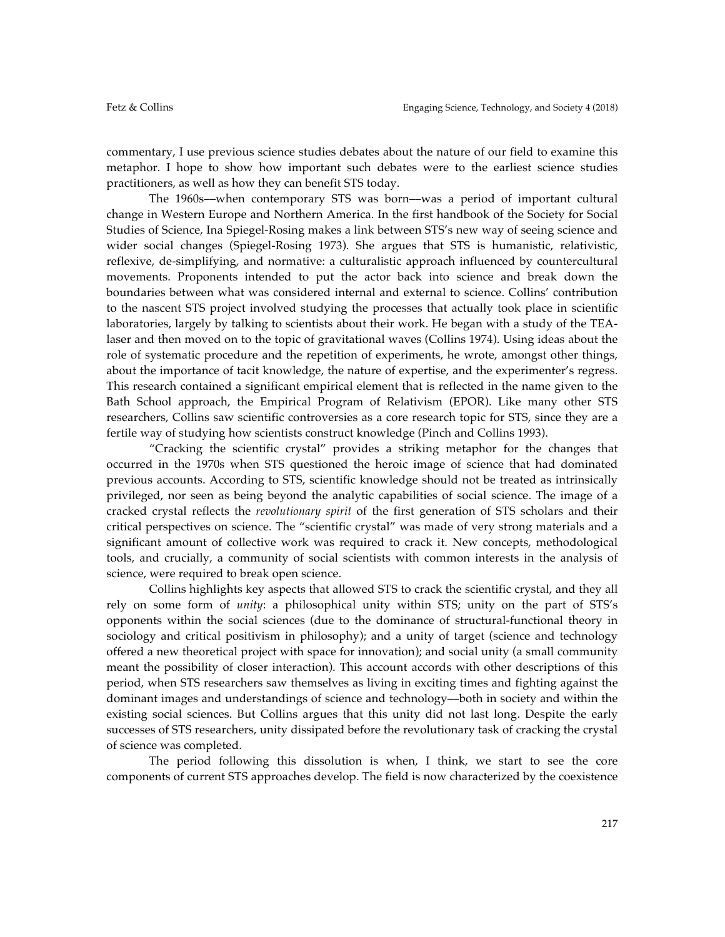commentary, I use previous science studies debates about the nature of our field to examine this metaphor*.* I hope to show how important such debates were to the earliest science studies practitioners, as well as how they can benefit STS today.

The 1960s––when contemporary STS was born––was a period of important cultural change in Western Europe and Northern America. In the first handbook of the Society for Social Studies of Science, Ina Spiegel-Rosing makes a link between STS's new way of seeing science and wider social changes (Spiegel-Rosing 1973). She argues that STS is humanistic, relativistic, reflexive, de-simplifying, and normative: a culturalistic approach influenced by countercultural movements. Proponents intended to put the actor back into science and break down the boundaries between what was considered internal and external to science. Collins' contribution to the nascent STS project involved studying the processes that actually took place in scientific laboratories, largely by talking to scientists about their work. He began with a study of the TEAlaser and then moved on to the topic of gravitational waves (Collins 1974). Using ideas about the role of systematic procedure and the repetition of experiments, he wrote, amongst other things, about the importance of tacit knowledge, the nature of expertise, and the experimenter's regress. This research contained a significant empirical element that is reflected in the name given to the Bath School approach, the Empirical Program of Relativism (EPOR). Like many other STS researchers, Collins saw scientific controversies as a core research topic for STS, since they are a fertile way of studying how scientists construct knowledge (Pinch and Collins 1993).

"Cracking the scientific crystal" provides a striking metaphor for the changes that occurred in the 1970s when STS questioned the heroic image of science that had dominated previous accounts. According to STS, scientific knowledge should not be treated as intrinsically privileged, nor seen as being beyond the analytic capabilities of social science. The image of a cracked crystal reflects the *revolutionary spirit* of the first generation of STS scholars and their critical perspectives on science. The "scientific crystal" was made of very strong materials and a significant amount of collective work was required to crack it. New concepts, methodological tools, and crucially, a community of social scientists with common interests in the analysis of science, were required to break open science.

Collins highlights key aspects that allowed STS to crack the scientific crystal, and they all rely on some form of *unity*: a philosophical unity within STS; unity on the part of STS's opponents within the social sciences (due to the dominance of structural-functional theory in sociology and critical positivism in philosophy); and a unity of target (science and technology offered a new theoretical project with space for innovation); and social unity (a small community meant the possibility of closer interaction). This account accords with other descriptions of this period, when STS researchers saw themselves as living in exciting times and fighting against the dominant images and understandings of science and technology––both in society and within the existing social sciences. But Collins argues that this unity did not last long. Despite the early successes of STS researchers, unity dissipated before the revolutionary task of cracking the crystal of science was completed.

The period following this dissolution is when, I think, we start to see the core components of current STS approaches develop. The field is now characterized by the coexistence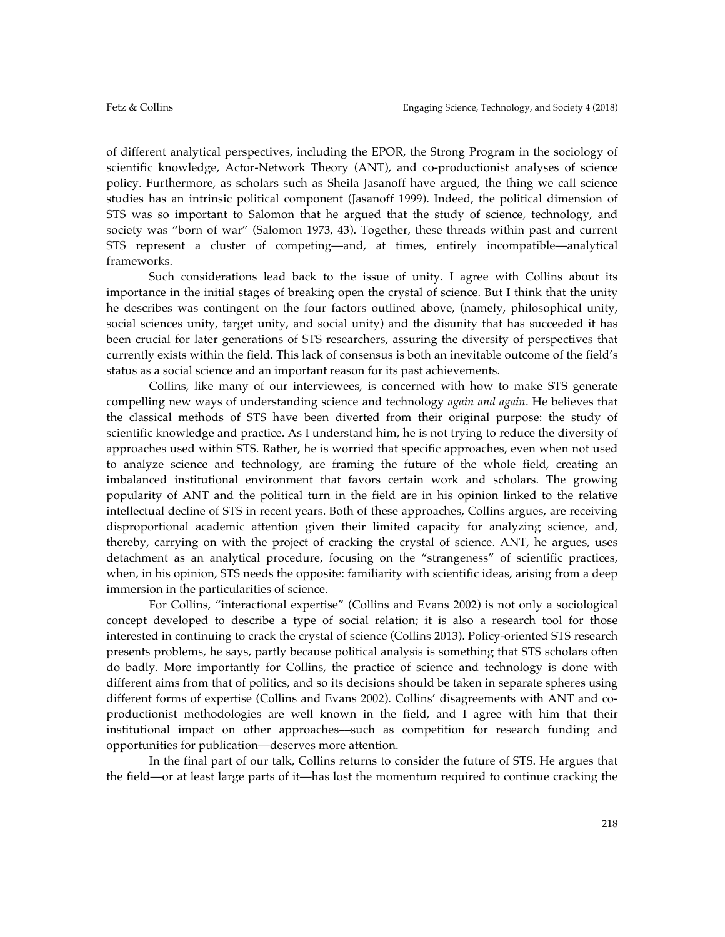of different analytical perspectives, including the EPOR, the Strong Program in the sociology of scientific knowledge, Actor-Network Theory (ANT), and co-productionist analyses of science policy. Furthermore, as scholars such as Sheila Jasanoff have argued, the thing we call science studies has an intrinsic political component (Jasanoff 1999). Indeed, the political dimension of STS was so important to Salomon that he argued that the study of science, technology, and society was "born of war" (Salomon 1973, 43). Together, these threads within past and current STS represent a cluster of competing––and, at times, entirely incompatible––analytical frameworks.

Such considerations lead back to the issue of unity. I agree with Collins about its importance in the initial stages of breaking open the crystal of science. But I think that the unity he describes was contingent on the four factors outlined above, (namely, philosophical unity, social sciences unity, target unity, and social unity) and the disunity that has succeeded it has been crucial for later generations of STS researchers, assuring the diversity of perspectives that currently exists within the field. This lack of consensus is both an inevitable outcome of the field's status as a social science and an important reason for its past achievements.

Collins, like many of our interviewees, is concerned with how to make STS generate compelling new ways of understanding science and technology *again and again*. He believes that the classical methods of STS have been diverted from their original purpose: the study of scientific knowledge and practice. As I understand him, he is not trying to reduce the diversity of approaches used within STS. Rather, he is worried that specific approaches, even when not used to analyze science and technology, are framing the future of the whole field, creating an imbalanced institutional environment that favors certain work and scholars. The growing popularity of ANT and the political turn in the field are in his opinion linked to the relative intellectual decline of STS in recent years. Both of these approaches, Collins argues, are receiving disproportional academic attention given their limited capacity for analyzing science, and, thereby, carrying on with the project of cracking the crystal of science. ANT, he argues, uses detachment as an analytical procedure, focusing on the "strangeness" of scientific practices, when, in his opinion, STS needs the opposite: familiarity with scientific ideas, arising from a deep immersion in the particularities of science.

For Collins, "interactional expertise" (Collins and Evans 2002) is not only a sociological concept developed to describe a type of social relation; it is also a research tool for those interested in continuing to crack the crystal of science (Collins 2013). Policy-oriented STS research presents problems, he says, partly because political analysis is something that STS scholars often do badly. More importantly for Collins, the practice of science and technology is done with different aims from that of politics, and so its decisions should be taken in separate spheres using different forms of expertise (Collins and Evans 2002). Collins' disagreements with ANT and coproductionist methodologies are well known in the field, and I agree with him that their institutional impact on other approaches––such as competition for research funding and opportunities for publication––deserves more attention.

In the final part of our talk, Collins returns to consider the future of STS. He argues that the field––or at least large parts of it––has lost the momentum required to continue cracking the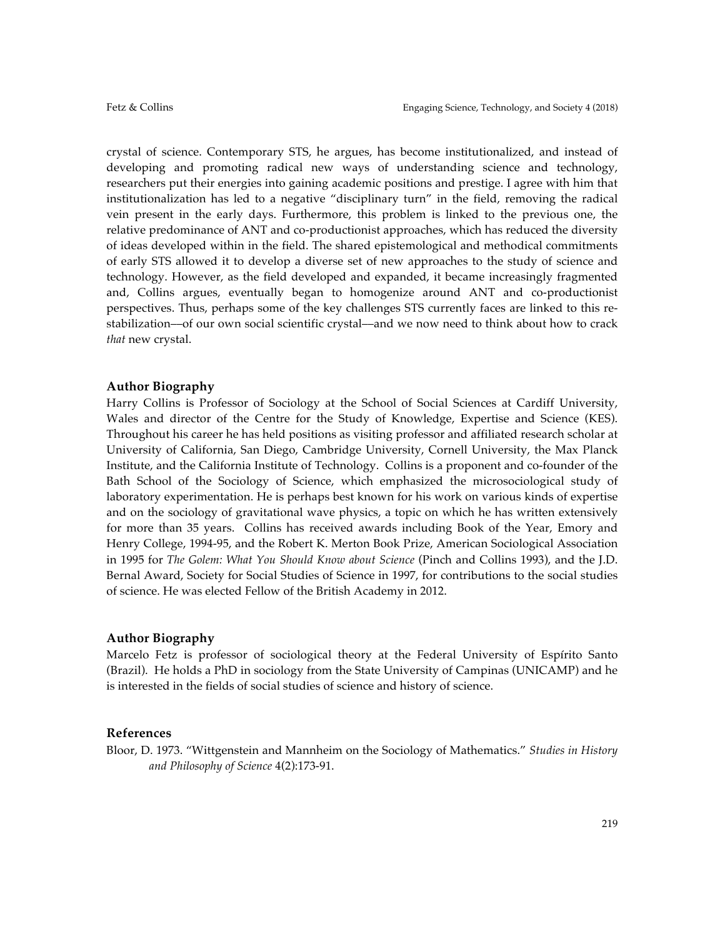crystal of science. Contemporary STS, he argues, has become institutionalized, and instead of developing and promoting radical new ways of understanding science and technology, researchers put their energies into gaining academic positions and prestige. I agree with him that institutionalization has led to a negative "disciplinary turn" in the field, removing the radical vein present in the early days. Furthermore, this problem is linked to the previous one, the relative predominance of ANT and co-productionist approaches, which has reduced the diversity of ideas developed within in the field. The shared epistemological and methodical commitments of early STS allowed it to develop a diverse set of new approaches to the study of science and technology. However, as the field developed and expanded, it became increasingly fragmented and, Collins argues, eventually began to homogenize around ANT and co-productionist perspectives. Thus, perhaps some of the key challenges STS currently faces are linked to this restabilization––of our own social scientific crystal––and we now need to think about how to crack *that* new crystal.

## **Author Biography**

Harry Collins is Professor of Sociology at the School of Social Sciences at Cardiff University, Wales and director of the Centre for the Study of Knowledge, Expertise and Science (KES). Throughout his career he has held positions as visiting professor and affiliated research scholar at University of California, San Diego, Cambridge University, Cornell University, the Max Planck Institute, and the California Institute of Technology. Collins is a proponent and co-founder of the Bath School of the Sociology of Science, which emphasized the microsociological study of laboratory experimentation. He is perhaps best known for his work on various kinds of expertise and on the sociology of gravitational wave physics, a topic on which he has written extensively for more than 35 years. Collins has received awards including Book of the Year, Emory and Henry College, 1994-95, and the Robert K. Merton Book Prize, American Sociological Association in 1995 for *The Golem: What You Should Know about Science* (Pinch and Collins 1993), and the J.D. Bernal Award, Society for Social Studies of Science in 1997, for contributions to the social studies of science. He was elected Fellow of the British Academy in 2012.

## **Author Biography**

Marcelo Fetz is professor of sociological theory at the Federal University of Espírito Santo (Brazil). He holds a PhD in sociology from the State University of Campinas (UNICAMP) and he is interested in the fields of social studies of science and history of science.

## **References**

Bloor, D. 1973. "Wittgenstein and Mannheim on the Sociology of Mathematics." *Studies in History and Philosophy of Science* 4(2):173-91.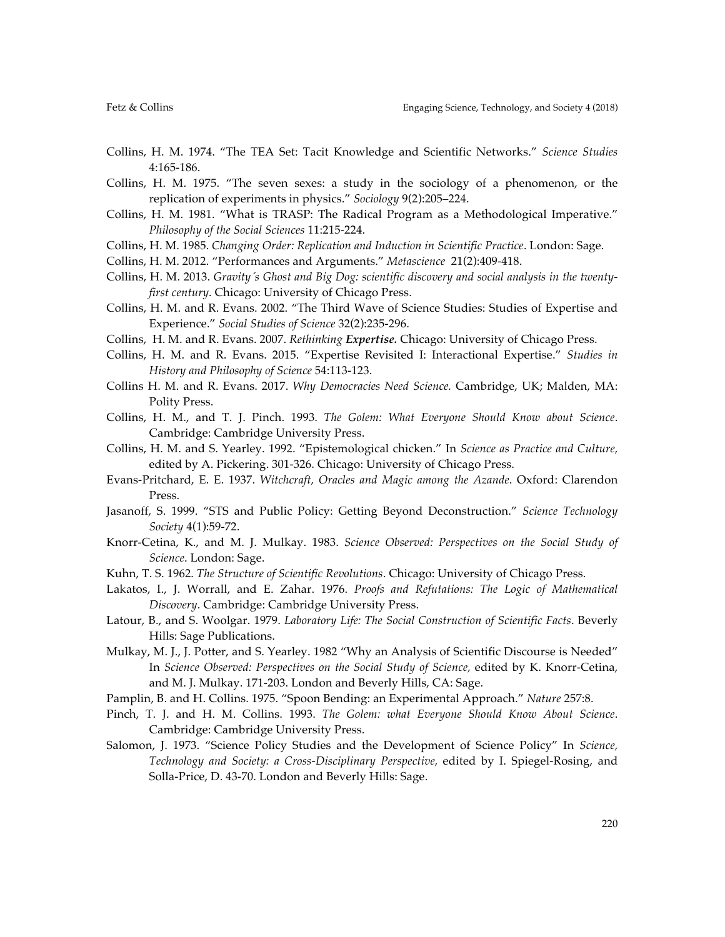- Collins, H. M. 1974. "The TEA Set: Tacit Knowledge and Scientific Networks." *Science Studies* 4:165-186.
- Collins, H. M. 1975. "The seven sexes: a study in the sociology of a phenomenon, or the replication of experiments in physics." *Sociology* 9(2):205–224.
- Collins, H. M. 1981. "What is TRASP: The Radical Program as a Methodological Imperative." *Philosophy of the Social Sciences* 11:215-224.
- Collins, H. M. 1985. *Changing Order: Replication and Induction in Scientific Practice*. London: Sage.
- Collins, H. M. 2012. "Performances and Arguments." *Metascience* 21(2):409-418.
- Collins, H. M. 2013. *Gravity´s Ghost and Big Dog: scientific discovery and social analysis in the twentyfirst century*. Chicago: University of Chicago Press.
- Collins, H. M. and R. Evans. 2002. "The Third Wave of Science Studies: Studies of Expertise and Experience." *Social Studies of Science* 32(2):235-296.
- Collins, H. M. and R. Evans. 2007. *Rethinking Expertise.* Chicago: University of Chicago Press.
- Collins, H. M. and R. Evans. 2015. "Expertise Revisited I: Interactional Expertise." *Studies in History and Philosophy of Science* 54:113-123.
- Collins H. M. and R. Evans. 2017. *Why Democracies Need Science.* Cambridge, UK; Malden, MA: Polity Press.
- Collins, H. M., and T. J. Pinch. 1993. *The Golem: What Everyone Should Know about Science*. Cambridge: Cambridge University Press.
- Collins, H. M. and S. Yearley. 1992. "Epistemological chicken." In *Science as Practice and Culture,* edited by A. Pickering. 301-326. Chicago: University of Chicago Press.
- Evans-Pritchard, E. E. 1937. *Witchcraft, Oracles and Magic among the Azande*. Oxford: Clarendon Press.
- Jasanoff, S. 1999. "STS and Public Policy: Getting Beyond Deconstruction." *Science Technology Society* 4(1):59-72.
- Knorr-Cetina, K., and M. J. Mulkay. 1983. *Science Observed: Perspectives on the Social Study of Science*. London: Sage.
- Kuhn, T. S. 1962. *The Structure of Scientific Revolutions*. Chicago: University of Chicago Press.
- Lakatos, I., J. Worrall, and E. Zahar. 1976. *Proofs and Refutations: The Logic of Mathematical Discovery*. Cambridge: Cambridge University Press.
- Latour, B., and S. Woolgar. 1979. *Laboratory Life: The Social Construction of Scientific Facts*. Beverly Hills: Sage Publications.
- Mulkay, M. J., J. Potter, and S. Yearley. 1982 "Why an Analysis of Scientific Discourse is Needed" In *Science Observed: Perspectives on the Social Study of Science,* edited by K. Knorr-Cetina, and M. J. Mulkay. 171-203. London and Beverly Hills, CA: Sage.
- Pamplin, B. and H. Collins. 1975. "Spoon Bending: an Experimental Approach." *Nature* 257:8.
- Pinch, T. J. and H. M. Collins. 1993. *The Golem: what Everyone Should Know About Science*. Cambridge: Cambridge University Press.
- Salomon, J. 1973. "Science Policy Studies and the Development of Science Policy" In *Science, Technology and Society: a Cross-Disciplinary Perspective,* edited by I. Spiegel-Rosing, and Solla-Price, D. 43-70. London and Beverly Hills: Sage.